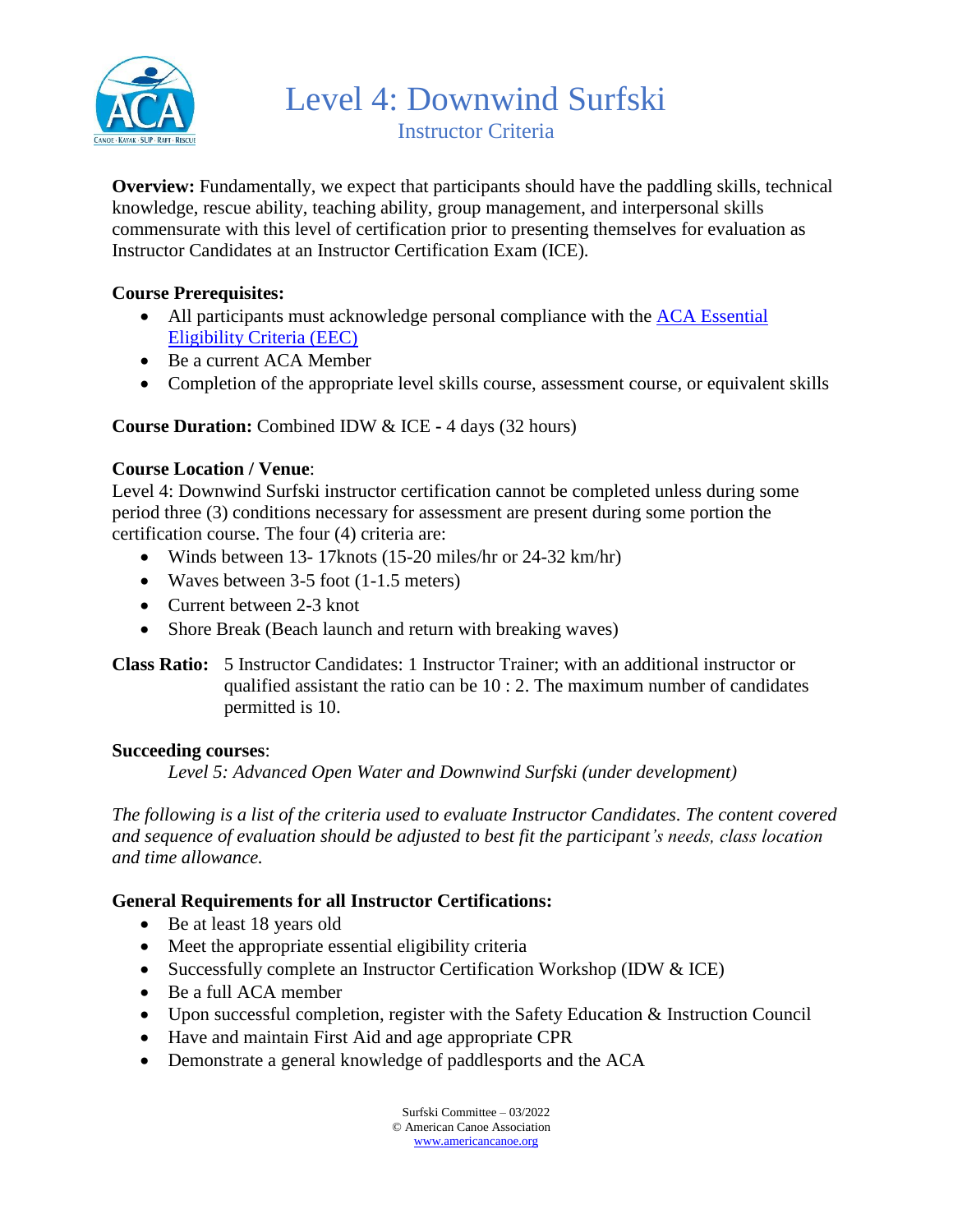

Level 4: Downwind Surfski Instructor Criteria

**Overview:** Fundamentally, we expect that participants should have the paddling skills, technical knowledge, rescue ability, teaching ability, group management, and interpersonal skills commensurate with this level of certification prior to presenting themselves for evaluation as Instructor Candidates at an Instructor Certification Exam (ICE).

# **Course Prerequisites:**

- All participants must acknowledge personal compliance with the ACA Essential [Eligibility Criteria \(EEC\)](https://americancanoe.org/essential-eligibility-criteria/)
- Be a current ACA Member
- Completion of the appropriate level skills course, assessment course, or equivalent skills

## **Course Duration:** Combined IDW & ICE **-** 4 days (32 hours)

## **Course Location / Venue**:

Level 4: Downwind Surfski instructor certification cannot be completed unless during some period three (3) conditions necessary for assessment are present during some portion the certification course. The four (4) criteria are:

- Winds between 13- 17knots (15-20 miles/hr or 24-32 km/hr)
- Waves between 3-5 foot (1-1.5 meters)
- Current between 2-3 knot
- Shore Break (Beach launch and return with breaking waves)

### **Class Ratio:** 5 Instructor Candidates: 1 Instructor Trainer; with an additional instructor or qualified assistant the ratio can be 10 : 2. The maximum number of candidates permitted is 10.

#### **Succeeding courses**:

*Level 5: Advanced Open Water and Downwind Surfski (under development)*

*The following is a list of the criteria used to evaluate Instructor Candidates. The content covered and sequence of evaluation should be adjusted to best fit the participant's needs, class location and time allowance.*

## **General Requirements for all Instructor Certifications:**

- Be at least 18 years old
- Meet the appropriate essential eligibility criteria
- Successfully complete an Instructor Certification Workshop (IDW & ICE)
- Be a full ACA member
- Upon successful completion, register with the Safety Education & Instruction Council
- Have and maintain First Aid and age appropriate CPR
- Demonstrate a general knowledge of paddlesports and the ACA

Surfski Committee – 03/2022 © American Canoe Association [www.americancanoe.org](http://www.americancanoe.org/)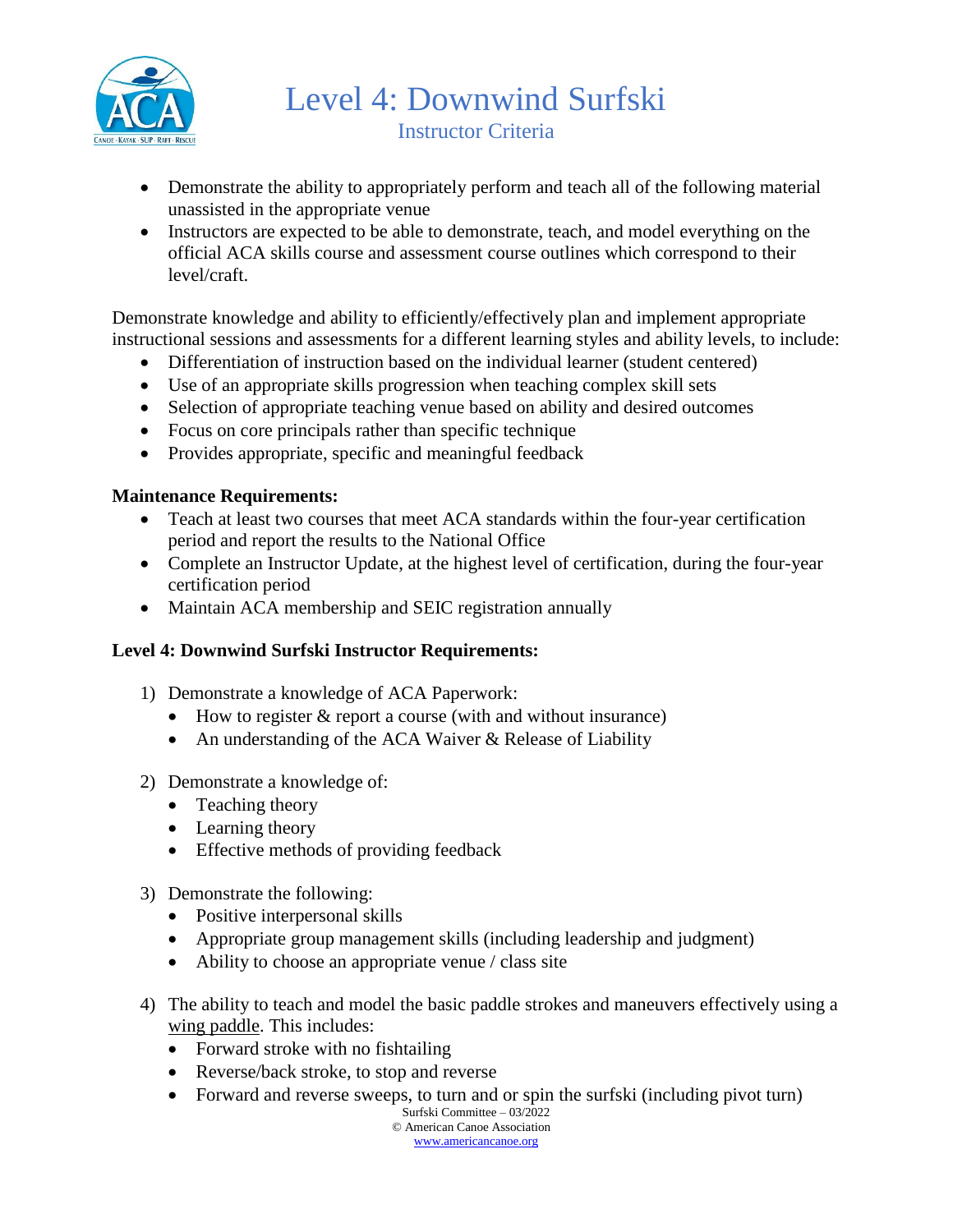

Level 4: Downwind Surfski Instructor Criteria

- Demonstrate the ability to appropriately perform and teach all of the following material unassisted in the appropriate venue
- Instructors are expected to be able to demonstrate, teach, and model everything on the official ACA skills course and assessment course outlines which correspond to their level/craft.

Demonstrate knowledge and ability to efficiently/effectively plan and implement appropriate instructional sessions and assessments for a different learning styles and ability levels, to include:

- Differentiation of instruction based on the individual learner (student centered)
- Use of an appropriate skills progression when teaching complex skill sets
- Selection of appropriate teaching venue based on ability and desired outcomes
- Focus on core principals rather than specific technique
- Provides appropriate, specific and meaningful feedback

## **Maintenance Requirements:**

- Teach at least two courses that meet ACA standards within the four-year certification period and report the results to the National Office
- Complete an Instructor Update, at the highest level of certification, during the four-year certification period
- Maintain ACA membership and SEIC registration annually

## **Level 4: Downwind Surfski Instructor Requirements:**

- 1) Demonstrate a knowledge of ACA Paperwork:
	- How to register  $&$  report a course (with and without insurance)
	- An understanding of the ACA Waiver & Release of Liability
- 2) Demonstrate a knowledge of:
	- Teaching theory
	- Learning theory
	- Effective methods of providing feedback
- 3) Demonstrate the following:
	- Positive interpersonal skills
	- Appropriate group management skills (including leadership and judgment)
	- Ability to choose an appropriate venue / class site
- 4) The ability to teach and model the basic paddle strokes and maneuvers effectively using a wing paddle. This includes:
	- Forward stroke with no fishtailing
	- Reverse/back stroke, to stop and reverse
	- Forward and reverse sweeps, to turn and or spin the surfski (including pivot turn)

Surfski Committee – 03/2022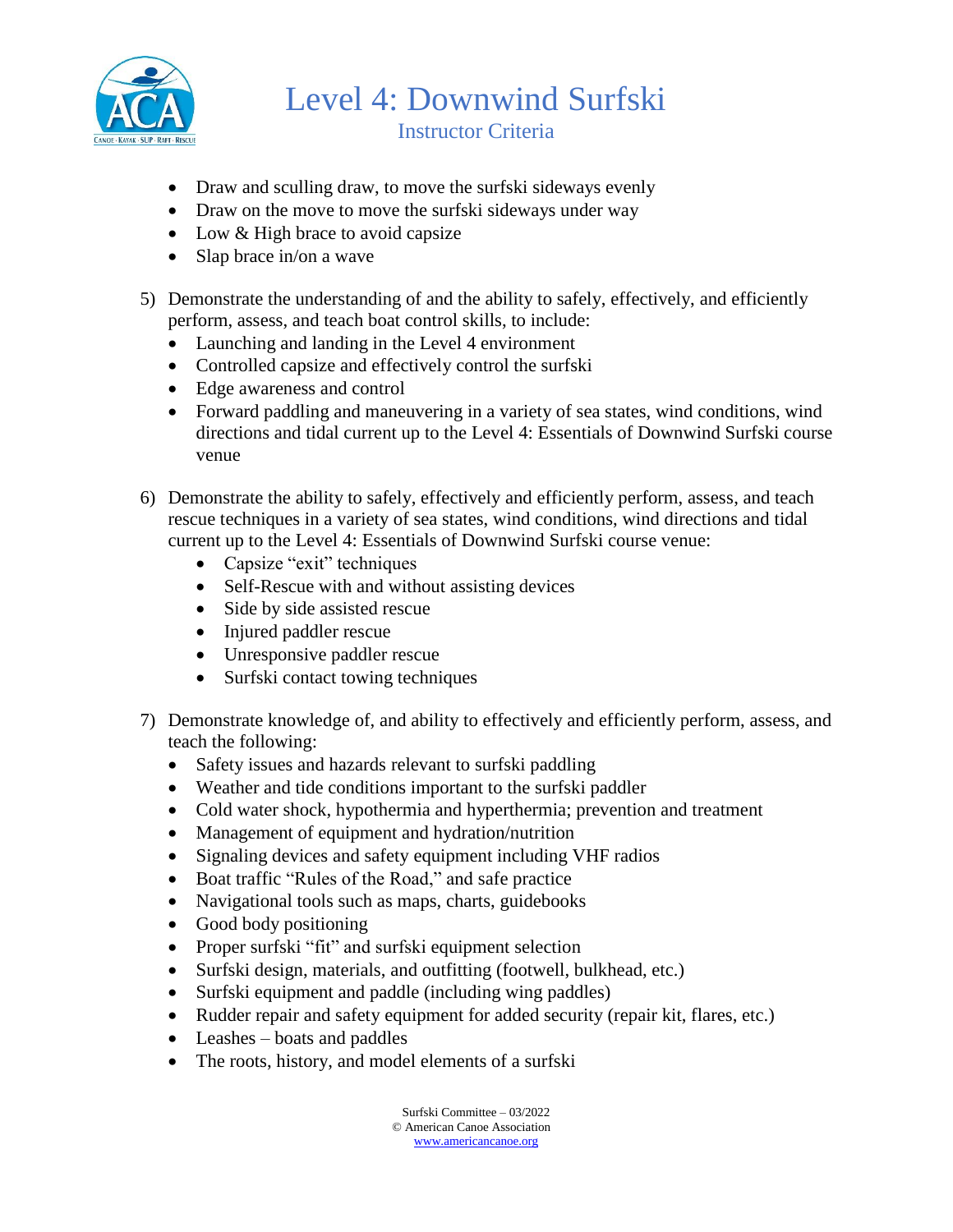

Level 4: Downwind Surfski Instructor Criteria

- Draw and sculling draw, to move the surfski sideways evenly
- Draw on the move to move the surfski sideways under way
- Low & High brace to avoid capsize
- Slap brace in/on a wave
- 5) Demonstrate the understanding of and the ability to safely, effectively, and efficiently perform, assess, and teach boat control skills, to include:
	- Launching and landing in the Level 4 environment
	- Controlled capsize and effectively control the surfski
	- Edge awareness and control
	- Forward paddling and maneuvering in a variety of sea states, wind conditions, wind directions and tidal current up to the Level 4: Essentials of Downwind Surfski course venue
- 6) Demonstrate the ability to safely, effectively and efficiently perform, assess, and teach rescue techniques in a variety of sea states, wind conditions, wind directions and tidal current up to the Level 4: Essentials of Downwind Surfski course venue:
	- Capsize "exit" techniques
	- Self-Rescue with and without assisting devices
	- Side by side assisted rescue
	- Injured paddler rescue
	- Unresponsive paddler rescue
	- Surfski contact towing techniques
- 7) Demonstrate knowledge of, and ability to effectively and efficiently perform, assess, and teach the following:
	- Safety issues and hazards relevant to surfski paddling
	- Weather and tide conditions important to the surfski paddler
	- Cold water shock, hypothermia and hyperthermia; prevention and treatment
	- Management of equipment and hydration/nutrition
	- Signaling devices and safety equipment including VHF radios
	- Boat traffic "Rules of the Road," and safe practice
	- Navigational tools such as maps, charts, guidebooks
	- Good body positioning
	- Proper surfski "fit" and surfski equipment selection
	- Surfski design, materials, and outfitting (footwell, bulkhead, etc.)
	- Surfski equipment and paddle (including wing paddles)
	- Rudder repair and safety equipment for added security (repair kit, flares, etc.)
	- Leashes boats and paddles
	- The roots, history, and model elements of a surfski

Surfski Committee – 03/2022 © American Canoe Association [www.americancanoe.org](http://www.americancanoe.org/)